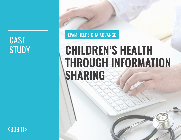# **CASE**

### EPAM HELPS CHA ADVANCE

# STUDY **CHILDREN'S HEALTH THROUGH INFORMATION SHARING**

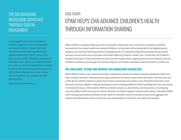#### THE BACKGROUND: INCREASING ADVOCACY THROUGH DIGITAL ENGAGEMENT

As the biggest community of children's hospital caregivers and professional staff dedicated to children's health, the CHA wanted to increase advocacy efforts and establish itself as the "go-to" resource for policy issues, quality initiatives, and research and data trends influencing children's health care. To do so, the CHA asked EPAM to develop a website and digital strategy to empower its 220 members, legislative decision makers, allied and partner organizations, and the general public.

www.СhildrensHospitals.org

# CASE STUDY: EPAM HELPS CHA ADVANCE CHILDREN'S HEALTH THROUGH INFORMATION SHARING

While children's hospitals make up just 5% of hospitals nationwide, they are the only institutions qualified to provide for the unique health care needs of children. As they also set the standards for the highest quality pediatric care and train future generations of pediatricians, it is imperative that these institutions have direct and easy access to the most up-to-date information affecting children's health care. To that end, the Children's Hospital Association (CHA) was formed in 2011 from the merger of two organizations to be the national voice for children's hospitals and leverage the collective influence of member hospitals to benefit children's health care.

#### **THE CHALLENGE: EXTEND AND IMPROVE COLLABORATION CAPABILITIES**

Before EPAM created a new website and online collaboration portal to enable increased cooperation within the CHA, members had been utilizing various legacy platforms to access content and information. One resource was a CMS-driven website linked to a stand-alone online community and another was a SharePoint site and e-mail discussion list tool, together making searching across the existing platforms both frustrating and time consuming. To remedy this issue, CHA turned to EPAM to centralize resources, documents, and discussions, in turn giving users the ability to filter and search content. Moreover, to further organize relevant information, CHA tasked EPAM with creating a personalized Member Center (both for members and non-members) that would aggregate all content and information based on what the user participated in and his/her role within the hospital.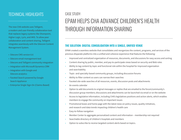#### TECHNICAL HIGHLIGHTS

The new CHA website uses Telligent, a modern and user-friendly collaboration tool that replaces legacy systems like Sharepoint, Higher Logic, Lyris, and iMIS. To allow peer collaboration and content sharing, Telligent integrates seamlessly with the Sitecore Content Management System.

- Sitecore CMS version 6.6
- Sitecore email management tool
- Sitecore and Telligent community integration
- Integration with Microsoft Dynamics CRM
- Integration with Google and Sitecore analytics
- Faceted Search powered by Google Search Appliance
- Enterprise Single Sign-On (Claims-Based)

# CASE STUDY: EPAM HELPS CHA ADVANCE CHILDREN'S HEALTH THROUGH INFORMATION SHARING

#### **THE SOLUTION: DIGITAL CONSOLIDATION INTO A SINGLE, UNIFIED VENUE**

EPAM created a seamless website that consolidates and reorganizes the content, programs, and services of the previous disparate platforms into a unified and cohesive experience that features the following:

- Improved and centralized organization of resources, documents, and discussions for easy access and sorting
- Content sharing by public, member, and pay-to-participate views based on security and Web roles
- Ability to tag content by topic and functional role within the hospital for improved organization and searchability
- Topic- and specialty-based community groups, including discussion forums
- Ability to filter content so users can narrow their searches
- Faceted site-wide searches of all resources, events, discussion posts and attachments
- An events calendar
- Option to add documents to original messages or replies that are emailed to the forum/community's discussion group members; discussions and attachments can be launched via email or on the website
- Access to legislative information, including CHA's legislatives positions and action alerts, which enables members to engage the community on important issues
- Promotional boxes and home page with the latest news on policy issues, quality initiatives, and research and data trends impacting children's health care
- Easy-to-follow navigation
- Member Center to aggregate personalized content and information membership not required
- Searchable directory of children's hospitals and members
- Option to subscribe to receive targeted content alerts based on topics.